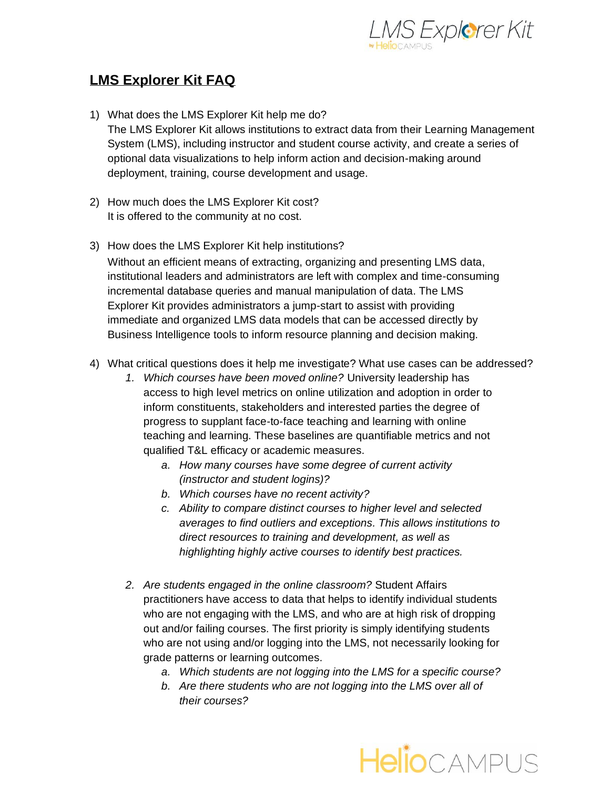

## **LMS Explorer Kit FAQ**

- 1) What does the LMS Explorer Kit help me do? The LMS Explorer Kit allows institutions to extract data from their Learning Management System (LMS), including instructor and student course activity, and create a series of optional data visualizations to help inform action and decision-making around deployment, training, course development and usage.
- 2) How much does the LMS Explorer Kit cost? It is offered to the community at no cost.
- 3) How does the LMS Explorer Kit help institutions? Without an efficient means of extracting, organizing and presenting LMS data, institutional leaders and administrators are left with complex and time-consuming incremental database queries and manual manipulation of data. The LMS Explorer Kit provides administrators a jump-start to assist with providing immediate and organized LMS data models that can be accessed directly by Business Intelligence tools to inform resource planning and decision making.
- 4) What critical questions does it help me investigate? What use cases can be addressed?
	- *1. Which courses have been moved online?* University leadership has access to high level metrics on online utilization and adoption in order to inform constituents, stakeholders and interested parties the degree of progress to supplant face-to-face teaching and learning with online teaching and learning. These baselines are quantifiable metrics and not qualified T&L efficacy or academic measures.
		- *a. How many courses have some degree of current activity (instructor and student logins)?*
		- *b. Which courses have no recent activity?*
		- *c. Ability to compare distinct courses to higher level and selected averages to find outliers and exceptions. This allows institutions to direct resources to training and development, as well as highlighting highly active courses to identify best practices.*
	- *2. Are students engaged in the online classroom?* Student Affairs practitioners have access to data that helps to identify individual students who are not engaging with the LMS, and who are at high risk of dropping out and/or failing courses. The first priority is simply identifying students who are not using and/or logging into the LMS, not necessarily looking for grade patterns or learning outcomes.
		- *a. Which students are not logging into the LMS for a specific course?*
		- *b. Are there students who are not logging into the LMS over all of their courses?*

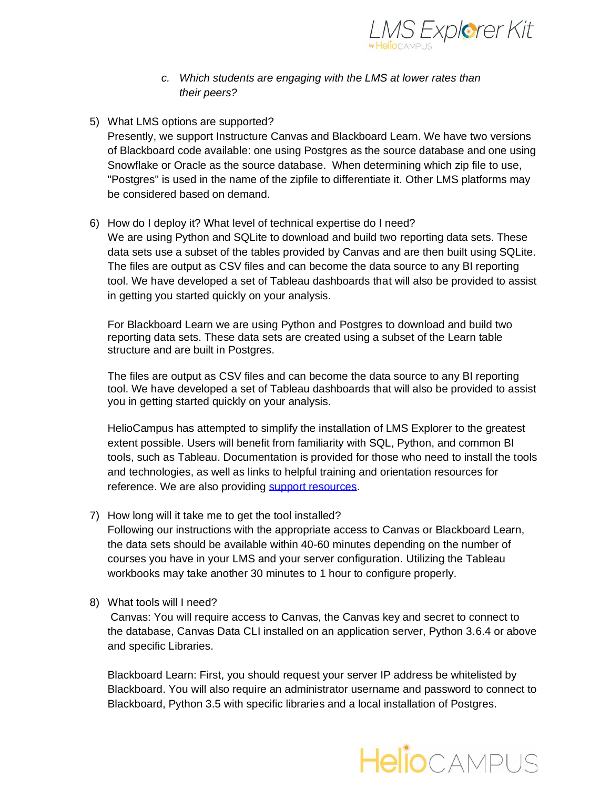

- *c. Which students are engaging with the LMS at lower rates than their peers?*
- 5) What LMS options are supported?

Presently, we support Instructure Canvas and Blackboard Learn. We have two versions of Blackboard code available: one using Postgres as the source database and one using Snowflake or Oracle as the source database. When determining which zip file to use, "Postgres" is used in the name of the zipfile to differentiate it. Other LMS platforms may be considered based on demand.

6) How do I deploy it? What level of technical expertise do I need?

We are using Python and SQLite to download and build two reporting data sets. These data sets use a subset of the tables provided by Canvas and are then built using SQLite. The files are output as CSV files and can become the data source to any BI reporting tool. We have developed a set of Tableau dashboards that will also be provided to assist in getting you started quickly on your analysis.

For Blackboard Learn we are using Python and Postgres to download and build two reporting data sets. These data sets are created using a subset of the Learn table structure and are built in Postgres.

The files are output as CSV files and can become the data source to any BI reporting tool. We have developed a set of Tableau dashboards that will also be provided to assist you in getting started quickly on your analysis.

HelioCampus has attempted to simplify the installation of LMS Explorer to the greatest extent possible. Users will benefit from familiarity with SQL, Python, and common BI tools, such as Tableau. Documentation is provided for those who need to install the tools and technologies, as well as links to helpful training and orientation resources for reference. We are also providing [support resources.](https://www.heliocampus.com/lms_explorerkit-support)

7) How long will it take me to get the tool installed?

Following our instructions with the appropriate access to Canvas or Blackboard Learn, the data sets should be available within 40-60 minutes depending on the number of courses you have in your LMS and your server configuration. Utilizing the Tableau workbooks may take another 30 minutes to 1 hour to configure properly.

8) What tools will I need?

Canvas: You will require access to Canvas, the Canvas key and secret to connect to the database, Canvas Data CLI installed on an application server, Python 3.6.4 or above and specific Libraries.

Blackboard Learn: First, you should request your server IP address be whitelisted by Blackboard. You will also require an administrator username and password to connect to Blackboard, Python 3.5 with specific libraries and a local installation of Postgres.